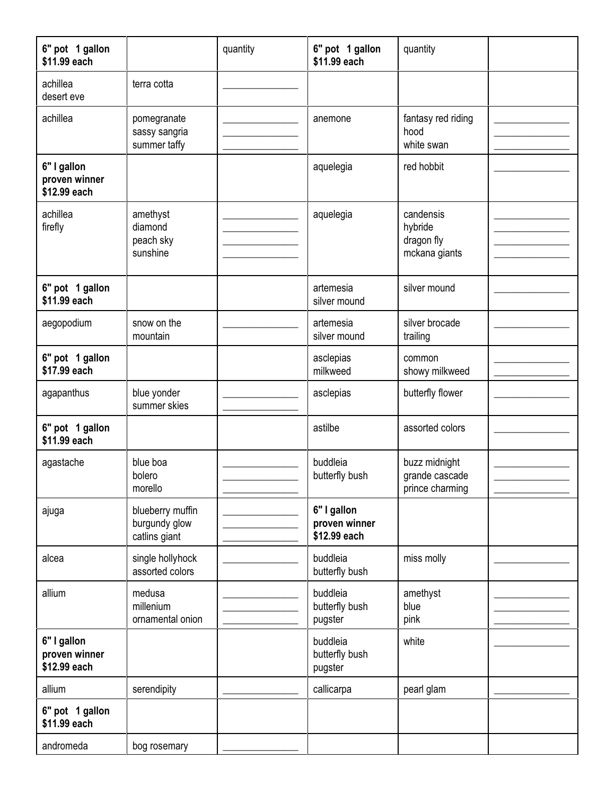| 6" pot 1 gallon<br>\$11.99 each              |                                                    | quantity | 6" pot 1 gallon<br>\$11.99 each              | quantity                                            |  |
|----------------------------------------------|----------------------------------------------------|----------|----------------------------------------------|-----------------------------------------------------|--|
| achillea<br>desert eve                       | terra cotta                                        |          |                                              |                                                     |  |
| achillea                                     | pomegranate<br>sassy sangria<br>summer taffy       |          | anemone                                      | fantasy red riding<br>hood<br>white swan            |  |
| 6" I gallon<br>proven winner<br>\$12.99 each |                                                    |          | aquelegia                                    | red hobbit                                          |  |
| achillea<br>firefly                          | amethyst<br>diamond<br>peach sky<br>sunshine       |          | aquelegia                                    | candensis<br>hybride<br>dragon fly<br>mckana giants |  |
| 6" pot 1 gallon<br>\$11.99 each              |                                                    |          | artemesia<br>silver mound                    | silver mound                                        |  |
| aegopodium                                   | snow on the<br>mountain                            |          | artemesia<br>silver mound                    | silver brocade<br>trailing                          |  |
| 6" pot 1 gallon<br>\$17.99 each              |                                                    |          | asclepias<br>milkweed                        | common<br>showy milkweed                            |  |
| agapanthus                                   | blue yonder<br>summer skies                        |          | asclepias                                    | butterfly flower                                    |  |
| 6" pot 1 gallon<br>\$11.99 each              |                                                    |          | astilbe                                      | assorted colors                                     |  |
| agastache                                    | blue boa<br>bolero<br>morello                      |          | buddleia<br>butterfly bush                   | buzz midnight<br>grande cascade<br>prince charming  |  |
| ajuga                                        | blueberry muffin<br>burgundy glow<br>catlins giant |          | 6" I gallon<br>proven winner<br>\$12.99 each |                                                     |  |
| alcea                                        | single hollyhock<br>assorted colors                |          | buddleia<br>butterfly bush                   | miss molly                                          |  |
| allium                                       | medusa<br>millenium<br>ornamental onion            |          | buddleia<br>butterfly bush<br>pugster        | amethyst<br>blue<br>pink                            |  |
| 6" I gallon<br>proven winner<br>\$12.99 each |                                                    |          | buddleia<br>butterfly bush<br>pugster        | white                                               |  |
| allium                                       | serendipity                                        |          | callicarpa                                   | pearl glam                                          |  |
| 6" pot 1 gallon<br>\$11.99 each              |                                                    |          |                                              |                                                     |  |
| andromeda                                    | bog rosemary                                       |          |                                              |                                                     |  |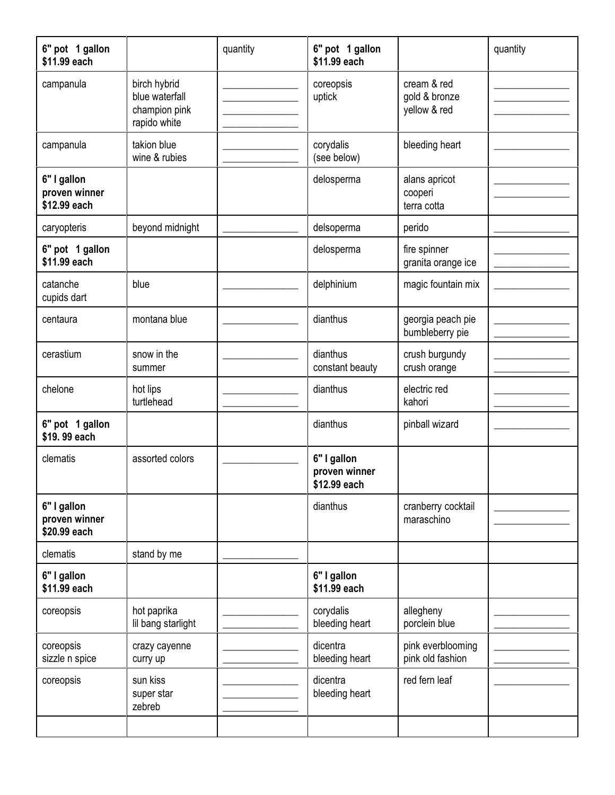| 6" pot 1 gallon<br>\$11.99 each              |                                                                 | quantity | 6" pot 1 gallon<br>\$11.99 each              |                                              | quantity |
|----------------------------------------------|-----------------------------------------------------------------|----------|----------------------------------------------|----------------------------------------------|----------|
| campanula                                    | birch hybrid<br>blue waterfall<br>champion pink<br>rapido white |          | coreopsis<br>uptick                          | cream & red<br>gold & bronze<br>yellow & red |          |
| campanula                                    | takion blue<br>wine & rubies                                    |          | corydalis<br>(see below)                     | bleeding heart                               |          |
| 6" I gallon<br>proven winner<br>\$12.99 each |                                                                 |          | delosperma                                   | alans apricot<br>cooperi<br>terra cotta      |          |
| caryopteris                                  | beyond midnight                                                 |          | delsoperma                                   | perido                                       |          |
| 6" pot 1 gallon<br>\$11.99 each              |                                                                 |          | delosperma                                   | fire spinner<br>granita orange ice           |          |
| catanche<br>cupids dart                      | blue                                                            |          | delphinium                                   | magic fountain mix                           |          |
| centaura                                     | montana blue                                                    |          | dianthus                                     | georgia peach pie<br>bumbleberry pie         |          |
| cerastium                                    | snow in the<br>summer                                           |          | dianthus<br>constant beauty                  | crush burgundy<br>crush orange               |          |
| chelone                                      | hot lips<br>turtlehead                                          |          | dianthus                                     | electric red<br>kahori                       |          |
| 6" pot 1 gallon<br>\$19.99 each              |                                                                 |          | dianthus                                     | pinball wizard                               |          |
| clematis                                     | assorted colors                                                 |          | 6" I gallon<br>proven winner<br>\$12.99 each |                                              |          |
| 6" I gallon<br>proven winner<br>\$20.99 each |                                                                 |          | dianthus                                     | cranberry cocktail<br>maraschino             |          |
| clematis                                     | stand by me                                                     |          |                                              |                                              |          |
| 6" I gallon<br>\$11.99 each                  |                                                                 |          | 6" I gallon<br>\$11.99 each                  |                                              |          |
| coreopsis                                    | hot paprika<br>lil bang starlight                               |          | corydalis<br>bleeding heart                  | allegheny<br>porclein blue                   |          |
| coreopsis<br>sizzle n spice                  | crazy cayenne<br>curry up                                       |          | dicentra<br>bleeding heart                   | pink everblooming<br>pink old fashion        |          |
| coreopsis                                    | sun kiss<br>super star<br>zebreb                                |          | dicentra<br>bleeding heart                   | red fern leaf                                |          |
|                                              |                                                                 |          |                                              |                                              |          |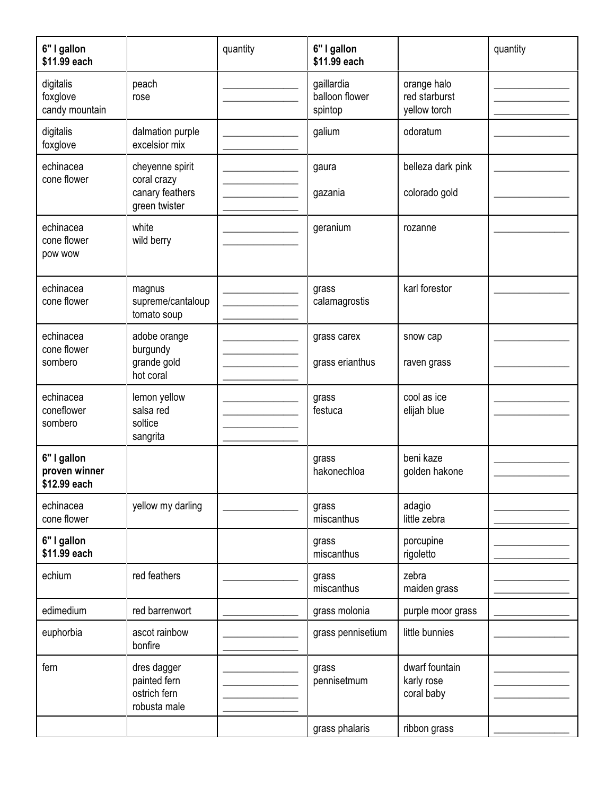| 6" I gallon<br>\$11.99 each                  |                                                                    | quantity | 6" I gallon<br>\$11.99 each             |                                              | quantity |
|----------------------------------------------|--------------------------------------------------------------------|----------|-----------------------------------------|----------------------------------------------|----------|
| digitalis<br>foxglove<br>candy mountain      | peach<br>rose                                                      |          | gaillardia<br>balloon flower<br>spintop | orange halo<br>red starburst<br>yellow torch |          |
| digitalis<br>foxglove                        | dalmation purple<br>excelsior mix                                  |          | galium                                  | odoratum                                     |          |
| echinacea<br>cone flower                     | cheyenne spirit<br>coral crazy<br>canary feathers<br>green twister |          | gaura<br>gazania                        | belleza dark pink<br>colorado gold           |          |
| echinacea<br>cone flower<br>pow wow          | white<br>wild berry                                                |          | geranium                                | rozanne                                      |          |
| echinacea<br>cone flower                     | magnus<br>supreme/cantaloup<br>tomato soup                         |          | grass<br>calamagrostis                  | karl forestor                                |          |
| echinacea<br>cone flower<br>sombero          | adobe orange<br>burgundy<br>grande gold<br>hot coral               |          | grass carex<br>grass erianthus          | snow cap<br>raven grass                      |          |
| echinacea<br>coneflower<br>sombero           | lemon yellow<br>salsa red<br>soltice<br>sangrita                   |          | grass<br>festuca                        | cool as ice<br>elijah blue                   |          |
| 6" I gallon<br>proven winner<br>\$12.99 each |                                                                    |          | grass<br>hakonechloa                    | beni kaze<br>golden hakone                   |          |
| echinacea<br>cone flower                     | yellow my darling                                                  |          | grass<br>miscanthus                     | adagio<br>little zebra                       |          |
| 6" I gallon<br>\$11.99 each                  |                                                                    |          | grass<br>miscanthus                     | porcupine<br>rigoletto                       |          |
| echium                                       | red feathers                                                       |          | grass<br>miscanthus                     | zebra<br>maiden grass                        |          |
| edimedium                                    | red barrenwort                                                     |          | grass molonia                           | purple moor grass                            |          |
| euphorbia                                    | ascot rainbow<br>bonfire                                           |          | grass pennisetium                       | little bunnies                               |          |
| fern                                         | dres dagger<br>painted fern<br>ostrich fern<br>robusta male        |          | grass<br>pennisetmum                    | dwarf fountain<br>karly rose<br>coral baby   |          |
|                                              |                                                                    |          | grass phalaris                          | ribbon grass                                 |          |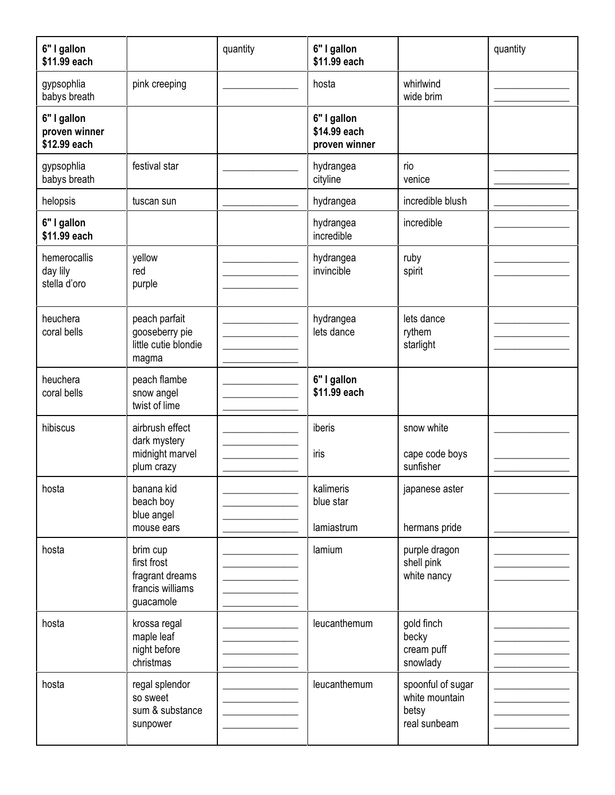| 6" I gallon<br>\$11.99 each                  |                                                                             | quantity | 6" I gallon<br>\$11.99 each                  |                                                              | quantity |
|----------------------------------------------|-----------------------------------------------------------------------------|----------|----------------------------------------------|--------------------------------------------------------------|----------|
| gypsophlia<br>babys breath                   | pink creeping                                                               |          | hosta                                        | whirlwind<br>wide brim                                       |          |
| 6" I gallon<br>proven winner<br>\$12.99 each |                                                                             |          | 6" I gallon<br>\$14.99 each<br>proven winner |                                                              |          |
| gypsophlia<br>babys breath                   | festival star                                                               |          | hydrangea<br>cityline                        | rio<br>venice                                                |          |
| helopsis                                     | tuscan sun                                                                  |          | hydrangea                                    | incredible blush                                             |          |
| 6" I gallon<br>\$11.99 each                  |                                                                             |          | hydrangea<br>incredible                      | incredible                                                   |          |
| hemerocallis<br>day lily<br>stella d'oro     | yellow<br>red<br>purple                                                     |          | hydrangea<br>invincible                      | ruby<br>spirit                                               |          |
| heuchera<br>coral bells                      | peach parfait<br>gooseberry pie<br>little cutie blondie<br>magma            |          | hydrangea<br>lets dance                      | lets dance<br>rythem<br>starlight                            |          |
| heuchera<br>coral bells                      | peach flambe<br>snow angel<br>twist of lime                                 |          | 6" I gallon<br>\$11.99 each                  |                                                              |          |
| hibiscus                                     | airbrush effect<br>dark mystery<br>midnight marvel<br>plum crazy            |          | iberis<br>iris                               | snow white<br>cape code boys<br>sunfisher                    |          |
| hosta                                        | banana kid<br>beach boy<br>blue angel<br>mouse ears                         |          | kalimeris<br>blue star<br>lamiastrum         | japanese aster<br>hermans pride                              |          |
| hosta                                        | brim cup<br>first frost<br>fragrant dreams<br>francis williams<br>guacamole |          | lamium                                       | purple dragon<br>shell pink<br>white nancy                   |          |
| hosta                                        | krossa regal<br>maple leaf<br>night before<br>christmas                     |          | leucanthemum                                 | gold finch<br>becky<br>cream puff<br>snowlady                |          |
| hosta                                        | regal splendor<br>so sweet<br>sum & substance<br>sunpower                   |          | leucanthemum                                 | spoonful of sugar<br>white mountain<br>betsy<br>real sunbeam |          |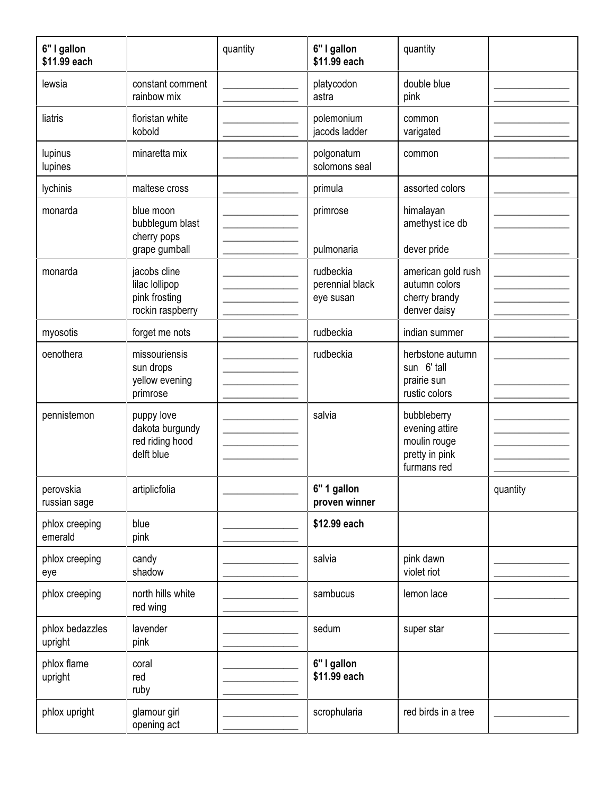| 6" I gallon<br>\$11.99 each |                                                                     | quantity | 6" I gallon<br>\$11.99 each               | quantity                                                                       |          |
|-----------------------------|---------------------------------------------------------------------|----------|-------------------------------------------|--------------------------------------------------------------------------------|----------|
| lewsia                      | constant comment<br>rainbow mix                                     |          | platycodon<br>astra                       | double blue<br>pink                                                            |          |
| liatris                     | floristan white<br>kobold                                           |          | polemonium<br>jacods ladder               | common<br>varigated                                                            |          |
| lupinus<br>lupines          | minaretta mix                                                       |          | polgonatum<br>solomons seal               | common                                                                         |          |
| lychinis                    | maltese cross                                                       |          | primula                                   | assorted colors                                                                |          |
| monarda                     | blue moon<br>bubblegum blast<br>cherry pops<br>grape gumball        |          | primrose<br>pulmonaria                    | himalayan<br>amethyst ice db<br>dever pride                                    |          |
| monarda                     | jacobs cline<br>lilac lollipop<br>pink frosting<br>rockin raspberry |          | rudbeckia<br>perennial black<br>eye susan | american gold rush<br>autumn colors<br>cherry brandy<br>denver daisy           |          |
| myosotis                    | forget me nots                                                      |          | rudbeckia                                 | indian summer                                                                  |          |
| oenothera                   | missouriensis<br>sun drops<br>yellow evening<br>primrose            |          | rudbeckia                                 | herbstone autumn<br>sun 6' tall<br>prairie sun<br>rustic colors                |          |
| pennistemon                 | puppy love<br>dakota burgundy<br>red riding hood<br>delft blue      |          | salvia                                    | bubbleberry<br>evening attire<br>moulin rouge<br>pretty in pink<br>furmans red |          |
| perovskia<br>russian sage   | artiplicfolia                                                       |          | 6" 1 gallon<br>proven winner              |                                                                                | quantity |
| phlox creeping<br>emerald   | blue<br>pink                                                        |          | \$12.99 each                              |                                                                                |          |
| phlox creeping<br>eye       | candy<br>shadow                                                     |          | salvia                                    | pink dawn<br>violet riot                                                       |          |
| phlox creeping              | north hills white<br>red wing                                       |          | sambucus                                  | lemon lace                                                                     |          |
| phlox bedazzles<br>upright  | lavender<br>pink                                                    |          | sedum                                     | super star                                                                     |          |
| phlox flame<br>upright      | coral<br>red<br>ruby                                                |          | 6" I gallon<br>\$11.99 each               |                                                                                |          |
| phlox upright               | glamour girl<br>opening act                                         |          | scrophularia                              | red birds in a tree                                                            |          |